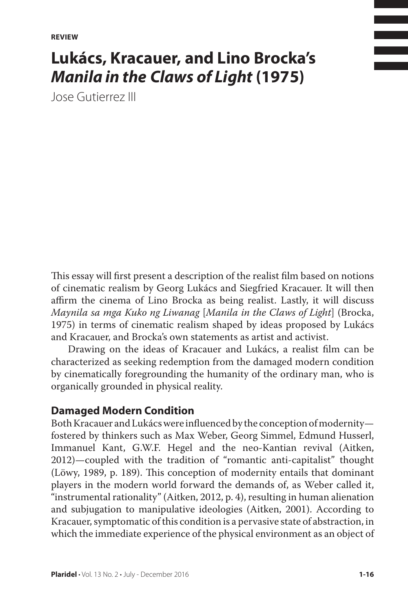**REVIEW**

# **Lukács, Kracauer, and Lino Brocka's**  *Manila in the Claws of Light* **(1975)**

Jose Gutierrez III

This essay will first present a description of the realist film based on notions of cinematic realism by Georg Lukács and Siegfried Kracauer. It will then affirm the cinema of Lino Brocka as being realist. Lastly, it will discuss *Maynila sa mga Kuko ng Liwanag* [*Manila in the Claws of Light*] (Brocka, 1975) in terms of cinematic realism shaped by ideas proposed by Lukács and Kracauer, and Brocka's own statements as artist and activist.

Drawing on the ideas of Kracauer and Lukács, a realist film can be characterized as seeking redemption from the damaged modern condition by cinematically foregrounding the humanity of the ordinary man, who is organically grounded in physical reality.

### **Damaged Modern Condition**

Both Kracauer and Lukács were influenced by the conception of modernity fostered by thinkers such as Max Weber, Georg Simmel, Edmund Husserl, Immanuel Kant, G.W.F. Hegel and the neo-Kantian revival (Aitken, 2012)—coupled with the tradition of "romantic anti-capitalist" thought (Löwy, 1989, p. 189). This conception of modernity entails that dominant players in the modern world forward the demands of, as Weber called it, "instrumental rationality" (Aitken, 2012, p. 4), resulting in human alienation and subjugation to manipulative ideologies (Aitken, 2001). According to Kracauer, symptomatic of this condition is a pervasive state of abstraction, in which the immediate experience of the physical environment as an object of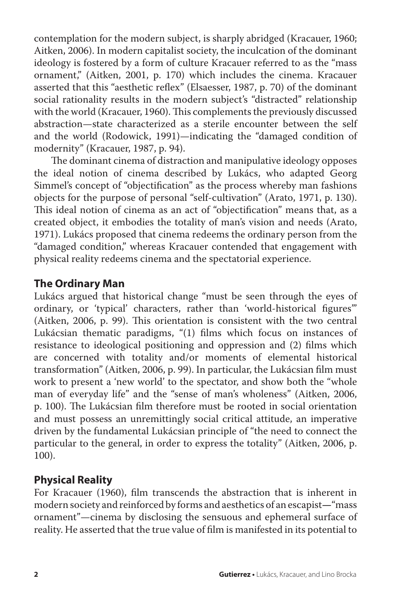contemplation for the modern subject, is sharply abridged (Kracauer, 1960; Aitken, 2006). In modern capitalist society, the inculcation of the dominant ideology is fostered by a form of culture Kracauer referred to as the "mass ornament," (Aitken, 2001, p. 170) which includes the cinema. Kracauer asserted that this "aesthetic reflex" (Elsaesser, 1987, p. 70) of the dominant social rationality results in the modern subject's "distracted" relationship with the world (Kracauer, 1960). This complements the previously discussed abstraction—state characterized as a sterile encounter between the self and the world (Rodowick, 1991)—indicating the "damaged condition of modernity" (Kracauer, 1987, p. 94).

The dominant cinema of distraction and manipulative ideology opposes the ideal notion of cinema described by Lukács, who adapted Georg Simmel's concept of "objectification" as the process whereby man fashions objects for the purpose of personal "self-cultivation" (Arato, 1971, p. 130). This ideal notion of cinema as an act of "objectification" means that, as a created object, it embodies the totality of man's vision and needs (Arato, 1971). Lukács proposed that cinema redeems the ordinary person from the "damaged condition," whereas Kracauer contended that engagement with physical reality redeems cinema and the spectatorial experience.

## **The Ordinary Man**

Lukács argued that historical change "must be seen through the eyes of ordinary, or 'typical' characters, rather than 'world-historical figures'" (Aitken, 2006, p. 99). This orientation is consistent with the two central Lukácsian thematic paradigms, "(1) films which focus on instances of resistance to ideological positioning and oppression and (2) films which are concerned with totality and/or moments of elemental historical transformation" (Aitken, 2006, p. 99). In particular, the Lukácsian film must work to present a 'new world' to the spectator, and show both the "whole man of everyday life" and the "sense of man's wholeness" (Aitken, 2006, p. 100). The Lukácsian film therefore must be rooted in social orientation and must possess an unremittingly social critical attitude, an imperative driven by the fundamental Lukácsian principle of "the need to connect the particular to the general, in order to express the totality" (Aitken, 2006, p. 100).

## **Physical Reality**

For Kracauer (1960), film transcends the abstraction that is inherent in modern society and reinforced by forms and aesthetics of an escapist**—**"mass ornament"—cinema by disclosing the sensuous and ephemeral surface of reality. He asserted that the true value of film is manifested in its potential to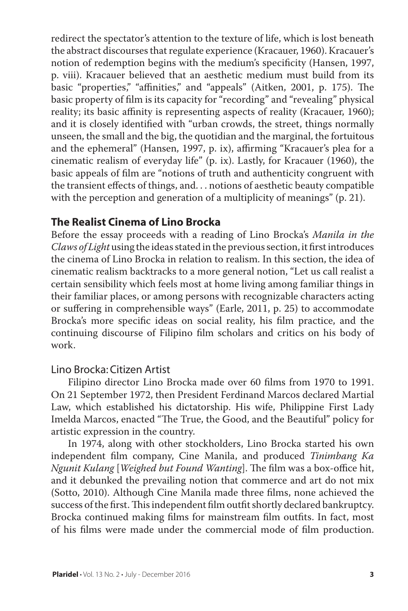redirect the spectator's attention to the texture of life, which is lost beneath the abstract discourses that regulate experience (Kracauer, 1960). Kracauer's notion of redemption begins with the medium's specificity (Hansen, 1997, p. viii). Kracauer believed that an aesthetic medium must build from its basic "properties," "affinities," and "appeals" (Aitken, 2001, p. 175). The basic property of film is its capacity for "recording" and "revealing" physical reality; its basic affinity is representing aspects of reality (Kracauer, 1960); and it is closely identified with "urban crowds, the street, things normally unseen, the small and the big, the quotidian and the marginal, the fortuitous and the ephemeral" (Hansen, 1997, p. ix), affirming "Kracauer's plea for a cinematic realism of everyday life" (p. ix). Lastly, for Kracauer (1960), the basic appeals of film are "notions of truth and authenticity congruent with the transient effects of things, and. . . notions of aesthetic beauty compatible with the perception and generation of a multiplicity of meanings" (p. 21).

## **The Realist Cinema of Lino Brocka**

Before the essay proceeds with a reading of Lino Brocka's *Manila in the Claws of Light* using the ideas stated in the previous section, it first introduces the cinema of Lino Brocka in relation to realism. In this section, the idea of cinematic realism backtracks to a more general notion, "Let us call realist a certain sensibility which feels most at home living among familiar things in their familiar places, or among persons with recognizable characters acting or suffering in comprehensible ways" (Earle, 2011, p. 25) to accommodate Brocka's more specific ideas on social reality, his film practice, and the continuing discourse of Filipino film scholars and critics on his body of work.

### Lino Brocka: Citizen Artist

Filipino director Lino Brocka made over 60 films from 1970 to 1991. On 21 September 1972, then President Ferdinand Marcos declared Martial Law, which established his dictatorship. His wife, Philippine First Lady Imelda Marcos, enacted "The True, the Good, and the Beautiful" policy for artistic expression in the country.

In 1974, along with other stockholders, Lino Brocka started his own independent film company, Cine Manila, and produced *Tinimbang Ka Ngunit Kulang* [*Weighed but Found Wanting*]. The film was a box-office hit, and it debunked the prevailing notion that commerce and art do not mix (Sotto, 2010). Although Cine Manila made three films, none achieved the success of the first. This independent film outfit shortly declared bankruptcy. Brocka continued making films for mainstream film outfits. In fact, most of his films were made under the commercial mode of film production.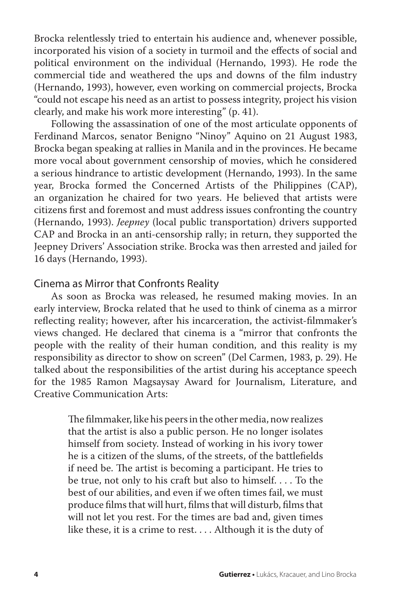Brocka relentlessly tried to entertain his audience and, whenever possible, incorporated his vision of a society in turmoil and the effects of social and political environment on the individual (Hernando, 1993). He rode the commercial tide and weathered the ups and downs of the film industry (Hernando, 1993), however, even working on commercial projects, Brocka "could not escape his need as an artist to possess integrity, project his vision clearly, and make his work more interesting" (p. 41).

Following the assassination of one of the most articulate opponents of Ferdinand Marcos, senator Benigno "Ninoy" Aquino on 21 August 1983, Brocka began speaking at rallies in Manila and in the provinces. He became more vocal about government censorship of movies, which he considered a serious hindrance to artistic development (Hernando, 1993). In the same year, Brocka formed the Concerned Artists of the Philippines (CAP), an organization he chaired for two years. He believed that artists were citizens first and foremost and must address issues confronting the country (Hernando, 1993). *Jeepney* (local public transportation) drivers supported CAP and Brocka in an anti-censorship rally; in return, they supported the Jeepney Drivers' Association strike. Brocka was then arrested and jailed for 16 days (Hernando, 1993).

#### Cinema as Mirror that Confronts Reality

As soon as Brocka was released, he resumed making movies. In an early interview, Brocka related that he used to think of cinema as a mirror reflecting reality; however, after his incarceration, the activist-filmmaker's views changed. He declared that cinema is a "mirror that confronts the people with the reality of their human condition, and this reality is my responsibility as director to show on screen" (Del Carmen, 1983, p. 29). He talked about the responsibilities of the artist during his acceptance speech for the 1985 Ramon Magsaysay Award for Journalism, Literature, and Creative Communication Arts:

> The filmmaker, like his peers in the other media, now realizes that the artist is also a public person. He no longer isolates himself from society. Instead of working in his ivory tower he is a citizen of the slums, of the streets, of the battlefields if need be. The artist is becoming a participant. He tries to be true, not only to his craft but also to himself. . . . To the best of our abilities, and even if we often times fail, we must produce films that will hurt, films that will disturb, films that will not let you rest. For the times are bad and, given times like these, it is a crime to rest. . . . Although it is the duty of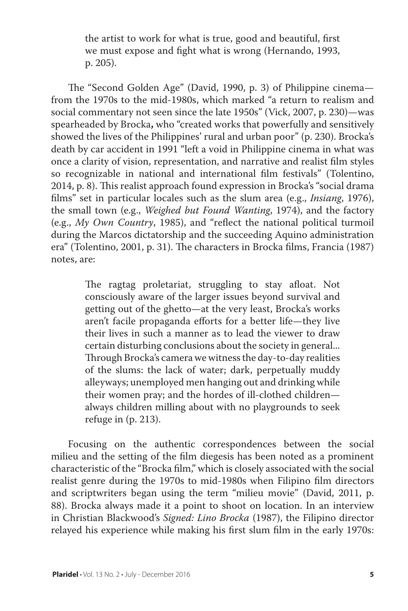the artist to work for what is true, good and beautiful, first we must expose and fight what is wrong (Hernando, 1993, p. 205).

The "Second Golden Age" (David, 1990, p. 3) of Philippine cinema from the 1970s to the mid-1980s, which marked "a return to realism and social commentary not seen since the late 1950s" (Vick, 2007, p. 230)—was spearheaded by Brocka**,** who "created works that powerfully and sensitively showed the lives of the Philippines' rural and urban poor" (p. 230). Brocka's death by car accident in 1991 "left a void in Philippine cinema in what was once a clarity of vision, representation, and narrative and realist film styles so recognizable in national and international film festivals" (Tolentino, 2014, p. 8). This realist approach found expression in Brocka's "social drama films" set in particular locales such as the slum area (e.g., *Insiang*, 1976), the small town (e.g., *Weighed but Found Wanting*, 1974), and the factory (e.g., *My Own Country*, 1985), and "reflect the national political turmoil during the Marcos dictatorship and the succeeding Aquino administration era" (Tolentino, 2001, p. 31). The characters in Brocka films, Francia (1987) notes, are:

> The ragtag proletariat, struggling to stay afloat. Not consciously aware of the larger issues beyond survival and getting out of the ghetto—at the very least, Brocka's works aren't facile propaganda efforts for a better life—they live their lives in such a manner as to lead the viewer to draw certain disturbing conclusions about the society in general... Through Brocka's camera we witness the day-to-day realities of the slums: the lack of water; dark, perpetually muddy alleyways; unemployed men hanging out and drinking while their women pray; and the hordes of ill-clothed children always children milling about with no playgrounds to seek refuge in (p. 213).

Focusing on the authentic correspondences between the social milieu and the setting of the film diegesis has been noted as a prominent characteristic of the "Brocka film," which is closely associated with the social realist genre during the 1970s to mid-1980s when Filipino film directors and scriptwriters began using the term "milieu movie" (David, 2011, p. 88). Brocka always made it a point to shoot on location. In an interview in Christian Blackwood's *Signed: Lino Brocka* (1987), the Filipino director relayed his experience while making his first slum film in the early 1970s: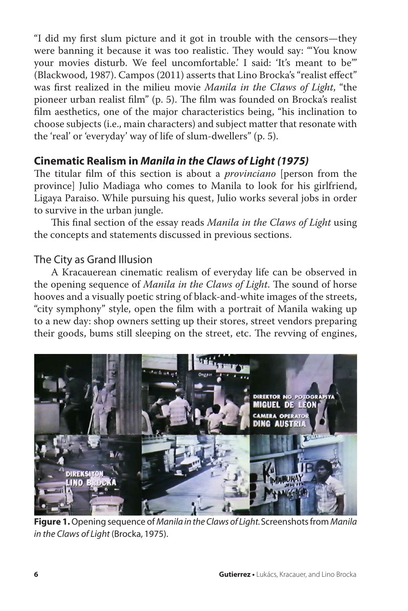"I did my first slum picture and it got in trouble with the censors—they were banning it because it was too realistic. They would say: "'You know your movies disturb. We feel uncomfortable.' I said: 'It's meant to be'" (Blackwood, 1987). Campos (2011) asserts that Lino Brocka's "realist effect" was first realized in the milieu movie *Manila in the Claws of Light*, "the pioneer urban realist film" (p. 5). The film was founded on Brocka's realist film aesthetics, one of the major characteristics being, "his inclination to choose subjects (i.e., main characters) and subject matter that resonate with the 'real' or 'everyday' way of life of slum-dwellers" (p. 5).

## **Cinematic Realism in** *Manila in the Claws of Light (1975)*

The titular film of this section is about a *provinciano* [person from the province] Julio Madiaga who comes to Manila to look for his girlfriend, Ligaya Paraiso. While pursuing his quest, Julio works several jobs in order to survive in the urban jungle.

This final section of the essay reads *Manila in the Claws of Light* using the concepts and statements discussed in previous sections.

## The City as Grand Illusion

A Kracauerean cinematic realism of everyday life can be observed in the opening sequence of *Manila in the Claws of Light*. The sound of horse hooves and a visually poetic string of black-and-white images of the streets, "city symphony" style, open the film with a portrait of Manila waking up to a new day: shop owners setting up their stores, street vendors preparing their goods, bums still sleeping on the street, etc. The revving of engines,



**Figure 1.** Opening sequence of *Manila in the Claws of Light.* Screenshots from *Manila in the Claws of Light* (Brocka, 1975).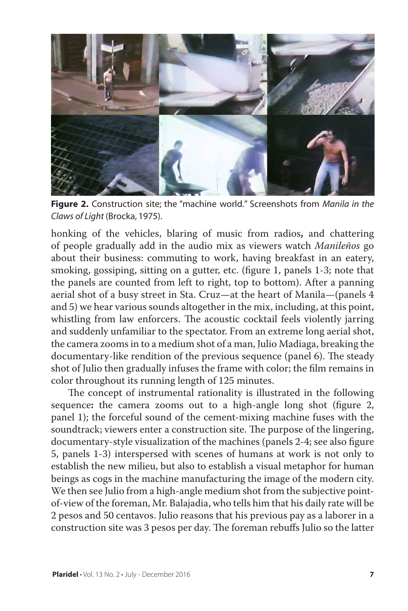

**Figure 2.** Construction site; the "machine world." Screenshots from *Manila in the Claws of Light* (Brocka, 1975).

honking of the vehicles, blaring of music from radios**,** and chattering of people gradually add in the audio mix as viewers watch *Manileños* go about their business: commuting to work, having breakfast in an eatery, smoking, gossiping, sitting on a gutter, etc. (figure 1, panels 1-3; note that the panels are counted from left to right, top to bottom). After a panning aerial shot of a busy street in Sta. Cruz—at the heart of Manila—(panels 4 and 5) we hear various sounds altogether in the mix, including, at this point, whistling from law enforcers. The acoustic cocktail feels violently jarring and suddenly unfamiliar to the spectator. From an extreme long aerial shot, the camera zooms in to a medium shot of a man, Julio Madiaga, breaking the documentary-like rendition of the previous sequence (panel 6). The steady shot of Julio then gradually infuses the frame with color; the film remains in color throughout its running length of 125 minutes.

The concept of instrumental rationality is illustrated in the following sequence**:** the camera zooms out to a high-angle long shot (figure 2, panel 1); the forceful sound of the cement-mixing machine fuses with the soundtrack; viewers enter a construction site. The purpose of the lingering, documentary-style visualization of the machines (panels 2-4; see also figure 5, panels 1-3) interspersed with scenes of humans at work is not only to establish the new milieu, but also to establish a visual metaphor for human beings as cogs in the machine manufacturing the image of the modern city. We then see Julio from a high-angle medium shot from the subjective pointof-view of the foreman, Mr. Balajadia, who tells him that his daily rate will be 2 pesos and 50 centavos. Julio reasons that his previous pay as a laborer in a construction site was 3 pesos per day. The foreman rebuffs Julio so the latter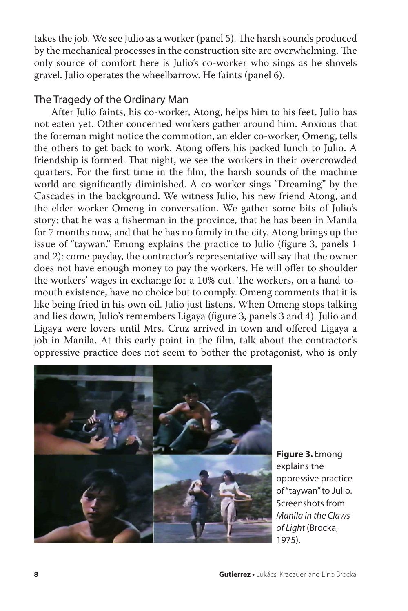takes the job. We see Julio as a worker (panel 5). The harsh sounds produced by the mechanical processes in the construction site are overwhelming. The only source of comfort here is Julio's co-worker who sings as he shovels gravel. Julio operates the wheelbarrow. He faints (panel 6).

### The Tragedy of the Ordinary Man

After Julio faints, his co-worker, Atong, helps him to his feet. Julio has not eaten yet. Other concerned workers gather around him. Anxious that the foreman might notice the commotion, an elder co-worker, Omeng, tells the others to get back to work. Atong offers his packed lunch to Julio. A friendship is formed. That night, we see the workers in their overcrowded quarters. For the first time in the film, the harsh sounds of the machine world are significantly diminished. A co-worker sings "Dreaming" by the Cascades in the background. We witness Julio, his new friend Atong, and the elder worker Omeng in conversation. We gather some bits of Julio's story: that he was a fisherman in the province, that he has been in Manila for 7 months now, and that he has no family in the city. Atong brings up the issue of "taywan." Emong explains the practice to Julio (figure 3, panels 1 and 2): come payday, the contractor's representative will say that the owner does not have enough money to pay the workers. He will offer to shoulder the workers' wages in exchange for a 10% cut. The workers, on a hand-tomouth existence, have no choice but to comply. Omeng comments that it is like being fried in his own oil. Julio just listens. When Omeng stops talking and lies down, Julio's remembers Ligaya (figure 3, panels 3 and 4). Julio and Ligaya were lovers until Mrs. Cruz arrived in town and offered Ligaya a job in Manila. At this early point in the film, talk about the contractor's oppressive practice does not seem to bother the protagonist, who is only



**Figure 3.** Emong explains the oppressive practice of "taywan" to Julio. Screenshots from *Manila in the Claws of Light* (Brocka, 1975).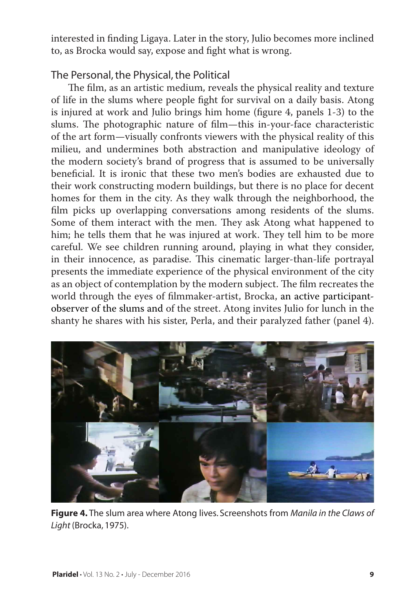interested in finding Ligaya. Later in the story, Julio becomes more inclined to, as Brocka would say, expose and fight what is wrong.

## The Personal, the Physical, the Political

The film, as an artistic medium, reveals the physical reality and texture of life in the slums where people fight for survival on a daily basis. Atong is injured at work and Julio brings him home (figure 4, panels 1-3) to the slums. The photographic nature of film—this in-your-face characteristic of the art form—visually confronts viewers with the physical reality of this milieu, and undermines both abstraction and manipulative ideology of the modern society's brand of progress that is assumed to be universally beneficial. It is ironic that these two men's bodies are exhausted due to their work constructing modern buildings, but there is no place for decent homes for them in the city. As they walk through the neighborhood, the film picks up overlapping conversations among residents of the slums. Some of them interact with the men. They ask Atong what happened to him; he tells them that he was injured at work. They tell him to be more careful. We see children running around, playing in what they consider, in their innocence, as paradise. This cinematic larger-than-life portrayal presents the immediate experience of the physical environment of the city as an object of contemplation by the modern subject. The film recreates the world through the eyes of filmmaker-artist, Brocka, an active participantobserver of the slums and of the street. Atong invites Julio for lunch in the shanty he shares with his sister, Perla, and their paralyzed father (panel 4).



**Figure 4.** The slum area where Atong lives. Screenshots from *Manila in the Claws of Light* (Brocka, 1975).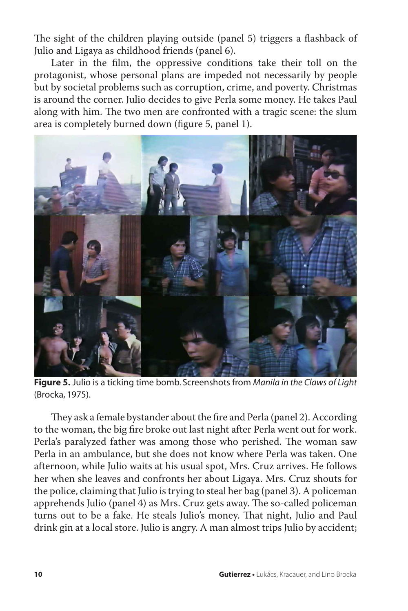The sight of the children playing outside (panel 5) triggers a flashback of Julio and Ligaya as childhood friends (panel 6).

Later in the film, the oppressive conditions take their toll on the protagonist, whose personal plans are impeded not necessarily by people but by societal problems such as corruption, crime, and poverty. Christmas is around the corner. Julio decides to give Perla some money. He takes Paul along with him. The two men are confronted with a tragic scene: the slum area is completely burned down (figure 5, panel 1).



**Figure 5.** Julio is a ticking time bomb. Screenshots from *Manila in the Claws of Light*  (Brocka, 1975).

They ask a female bystander about the fire and Perla (panel 2). According to the woman, the big fire broke out last night after Perla went out for work. Perla's paralyzed father was among those who perished. The woman saw Perla in an ambulance, but she does not know where Perla was taken. One afternoon, while Julio waits at his usual spot, Mrs. Cruz arrives. He follows her when she leaves and confronts her about Ligaya. Mrs. Cruz shouts for the police, claiming that Julio is trying to steal her bag (panel 3). A policeman apprehends Julio (panel 4) as Mrs. Cruz gets away. The so-called policeman turns out to be a fake. He steals Julio's money. That night, Julio and Paul drink gin at a local store. Julio is angry. A man almost trips Julio by accident;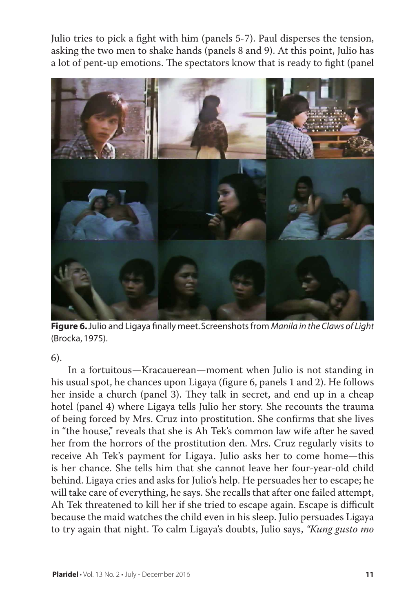Julio tries to pick a fight with him (panels 5-7). Paul disperses the tension, asking the two men to shake hands (panels 8 and 9). At this point, Julio has a lot of pent**-**up emotions. The spectators know that is ready to fight (panel



**Figure 6.** Julio and Ligaya finally meet. Screenshots from *Manila in the Claws of Light*  (Brocka, 1975).

#### 6).

In a fortuitous—Kracauerean—moment when Julio is not standing in his usual spot, he chances upon Ligaya (figure 6, panels 1 and 2). He follows her inside a church (panel 3). They talk in secret, and end up in a cheap hotel (panel 4) where Ligaya tells Julio her story. She recounts the trauma of being forced by Mrs. Cruz into prostitution. She confirms that she lives in "the house," reveals that she is Ah Tek's common law wife after he saved her from the horrors of the prostitution den. Mrs. Cruz regularly visits to receive Ah Tek's payment for Ligaya. Julio asks her to come home—this is her chance. She tells him that she cannot leave her four-year-old child behind. Ligaya cries and asks for Julio's help. He persuades her to escape; he will take care of everything, he says. She recalls that after one failed attempt, Ah Tek threatened to kill her if she tried to escape again. Escape is difficult because the maid watches the child even in his sleep. Julio persuades Ligaya to try again that night. To calm Ligaya's doubts, Julio says, *"Kung gusto mo*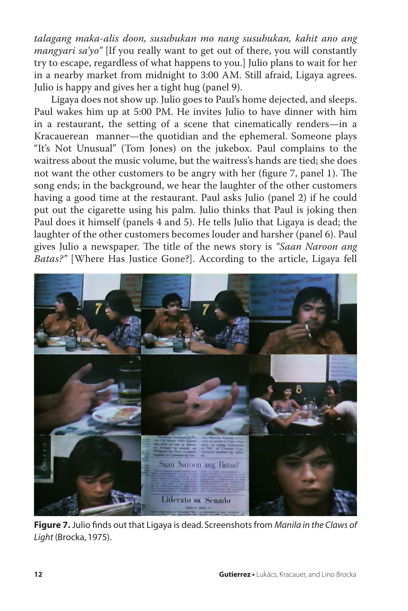*talagang maka-alis doon, susubukan mo nang susubukan, kahit ano ang mangyari sa'yo"* [If you really want to get out of there, you will constantly try to escape, regardless of what happens to you.] Julio plans to wait for her in a nearby market from midnight to 3:00 AM. Still afraid, Ligaya agrees. Julio is happy and gives her a tight hug (panel 9).

Ligaya does not show up. Julio goes to Paul's home dejected, and sleeps. Paul wakes him up at 5:00 PM. He invites Julio to have dinner with him in a restaurant, the setting of a scene that cinematically renders—in a Kracauerean manner—the quotidian and the ephemeral. Someone plays "It's Not Unusual" (Tom Jones) on the jukebox. Paul complains to the waitress about the music volume, but the waitress's hands are tied; she does not want the other customers to be angry with her (figure 7, panel 1). The song ends; in the background, we hear the laughter of the other customers having a good time at the restaurant. Paul asks Julio (panel 2) if he could put out the cigarette using his palm. Julio thinks that Paul is joking then Paul does it himself (panels 4 and 5). He tells Julio that Ligaya is dead; the laughter of the other customers becomes louder and harsher (panel 6). Paul gives Julio a newspaper. The title of the news story is *"Saan Naroon ang Batas?"* [Where Has Justice Gone?]. According to the article, Ligaya fell



**Figure 7.** Julio finds out that Ligaya is dead. Screenshots from *Manila in the Claws of Light* (Brocka, 1975).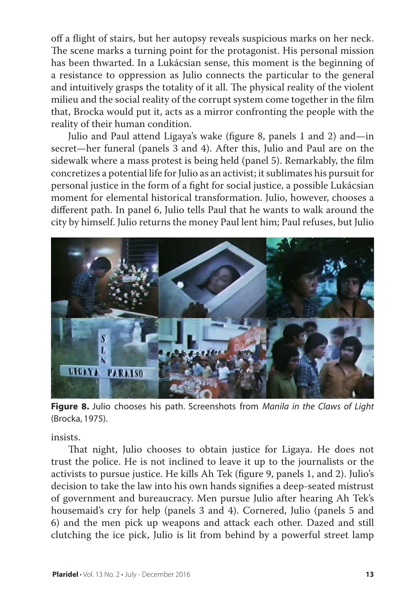off a flight of stairs, but her autopsy reveals suspicious marks on her neck. The scene marks a turning point for the protagonist. His personal mission has been thwarted. In a Lukácsian sense, this moment is the beginning of a resistance to oppression as Julio connects the particular to the general and intuitively grasps the totality of it all. The physical reality of the violent milieu and the social reality of the corrupt system come together in the film that, Brocka would put it, acts as a mirror confronting the people with the reality of their human condition.

Julio and Paul attend Ligaya's wake (figure 8, panels 1 and 2) and—in secret—her funeral (panels 3 and 4). After this, Julio and Paul are on the sidewalk where a mass protest is being held (panel 5). Remarkably, the film concretizes a potential life for Julio as an activist; it sublimates his pursuit for personal justice in the form of a fight for social justice, a possible Lukácsian moment for elemental historical transformation. Julio, however, chooses a different path. In panel 6, Julio tells Paul that he wants to walk around the city by himself. Julio returns the money Paul lent him; Paul refuses, but Julio



**Figure 8.** Julio chooses his path. Screenshots from *Manila in the Claws of Light*  (Brocka, 1975).

insists.

That night, Julio chooses to obtain justice for Ligaya. He does not trust the police. He is not inclined to leave it up to the journalists or the activists to pursue justice. He kills Ah Tek (figure 9, panels 1, and 2). Julio's decision to take the law into his own hands signifies a deep-seated mistrust of government and bureaucracy. Men pursue Julio after hearing Ah Tek's housemaid's cry for help (panels 3 and 4). Cornered, Julio (panels 5 and 6) and the men pick up weapons and attack each other. Dazed and still clutching the ice pick, Julio is lit from behind by a powerful street lamp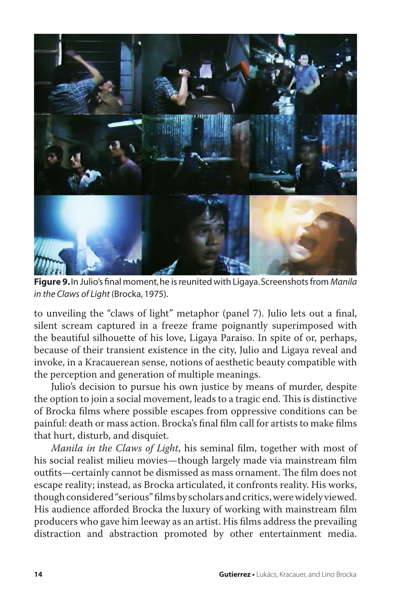

**Figure 9.** In Julio's final moment, he is reunited with Ligaya. Screenshots from *Manila in the Claws of Light* (Brocka, 1975).

to unveiling the "claws of light" metaphor (panel 7). Julio lets out a final, silent scream captured in a freeze frame poignantly superimposed with the beautiful silhouette of his love, Ligaya Paraiso. In spite of or, perhaps, because of their transient existence in the city, Julio and Ligaya reveal and invoke, in a Kracauerean sense, notions of aesthetic beauty compatible with the perception and generation of multiple meanings.

Julio's decision to pursue his own justice by means of murder, despite the option to join a social movement, leads to a tragic end. This is distinctive of Brocka films where possible escapes from oppressive conditions can be painful: death or mass action. Brocka's final film call for artists to make films that hurt, disturb, and disquiet.

*Manila in the Claws of Light*, his seminal film, together with most of his social realist milieu movies—though largely made via mainstream film outfits—certainly cannot be dismissed as mass ornament. The film does not escape reality; instead, as Brocka articulated, it confronts reality. His works, though considered "serious" films by scholars and critics, were widely viewed. His audience afforded Brocka the luxury of working with mainstream film producers who gave him leeway as an artist. His films address the prevailing distraction and abstraction promoted by other entertainment media.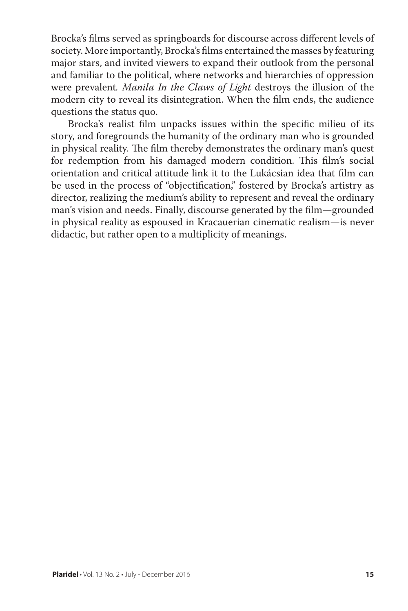Brocka's films served as springboards for discourse across different levels of society. More importantly, Brocka's films entertained the masses by featuring major stars, and invited viewers to expand their outlook from the personal and familiar to the political, where networks and hierarchies of oppression were prevalent*. Manila In the Claws of Light* destroys the illusion of the modern city to reveal its disintegration. When the film ends, the audience questions the status quo.

Brocka's realist film unpacks issues within the specific milieu of its story, and foregrounds the humanity of the ordinary man who is grounded in physical reality. The film thereby demonstrates the ordinary man's quest for redemption from his damaged modern condition. This film's social orientation and critical attitude link it to the Lukácsian idea that film can be used in the process of "objectification," fostered by Brocka's artistry as director, realizing the medium's ability to represent and reveal the ordinary man's vision and needs. Finally, discourse generated by the film—grounded in physical reality as espoused in Kracauerian cinematic realism—is never didactic, but rather open to a multiplicity of meanings.